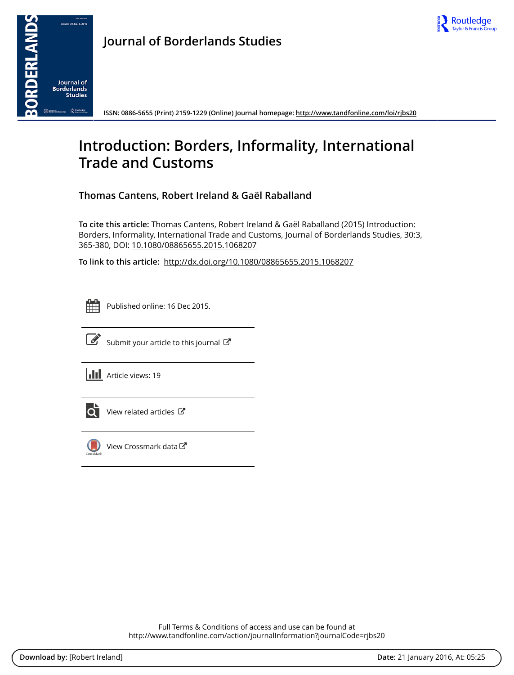



**Journal of Borderlands Studies**

**ISSN: 0886-5655 (Print) 2159-1229 (Online) Journal homepage:<http://www.tandfonline.com/loi/rjbs20>**

# **Introduction: Borders, Informality, International Trade and Customs**

**Thomas Cantens, Robert Ireland & Gaël Raballand**

**To cite this article:** Thomas Cantens, Robert Ireland & Gaël Raballand (2015) Introduction: Borders, Informality, International Trade and Customs, Journal of Borderlands Studies, 30:3, 365-380, DOI: [10.1080/08865655.2015.1068207](http://www.tandfonline.com/action/showCitFormats?doi=10.1080/08865655.2015.1068207)

**To link to this article:** <http://dx.doi.org/10.1080/08865655.2015.1068207>

Published online: 16 Dec 2015.



 $\overrightarrow{S}$  [Submit your article to this journal](http://www.tandfonline.com/action/authorSubmission?journalCode=rjbs20&page=instructions)  $\overrightarrow{S}$ 

**III** Article views: 19



 $\overrightarrow{Q}$  [View related articles](http://www.tandfonline.com/doi/mlt/10.1080/08865655.2015.1068207)  $\overrightarrow{C}$ 



[View Crossmark data](http://crossmark.crossref.org/dialog/?doi=10.1080/08865655.2015.1068207&domain=pdf&date_stamp=2015-12-16)<sup>で</sup>

Full Terms & Conditions of access and use can be found at <http://www.tandfonline.com/action/journalInformation?journalCode=rjbs20>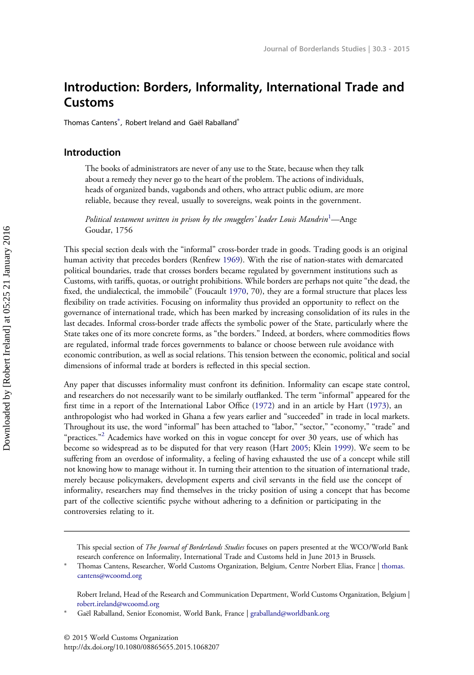# Introduction: Borders, Informality, International Trade and Customs

Thomas Cantens<sup>\*</sup>, Robert Ireland and Gaël Raballand<sup>\*</sup>

# Introduction

The books of administrators are never of any use to the State, because when they talk about a remedy they never go to the heart of the problem. The actions of individuals, heads of organized bands, vagabonds and others, who attract public odium, are more reliable, because they reveal, usually to sovereigns, weak points in the government.

Political testament written in prison by the smugglers' leader Louis Mandrin $^{\rm l}$ —Ange Goudar, 1756

This special section deals with the "informal" cross-border trade in goods. Trading goods is an original human activity that precedes borders (Renfrew [1969\)](#page-16-0). With the rise of nation-states with demarcated political boundaries, trade that crosses borders became regulated by government institutions such as Customs, with tariffs, quotas, or outright prohibitions. While borders are perhaps not quite "the dead, the fixed, the undialectical, the immobile" (Foucault [1970](#page-14-0), 70), they are a formal structure that places less flexibility on trade activities. Focusing on informality thus provided an opportunity to reflect on the governance of international trade, which has been marked by increasing consolidation of its rules in the last decades. Informal cross-border trade affects the symbolic power of the State, particularly where the State takes one of its more concrete forms, as "the borders." Indeed, at borders, where commodities flows are regulated, informal trade forces governments to balance or choose between rule avoidance with economic contribution, as well as social relations. This tension between the economic, political and social dimensions of informal trade at borders is reflected in this special section.

Any paper that discusses informality must confront its definition. Informality can escape state control, and researchers do not necessarily want to be similarly outflanked. The term "informal" appeared for the first time in a report of the International Labor Office [\(1972](#page-14-0)) and in an article by Hart [\(1973](#page-14-0)), an anthropologist who had worked in Ghana a few years earlier and "succeeded" in trade in local markets. Throughout its use, the word "informal" has been attached to "labor," "sector," "economy," "trade" and "practices."<sup>[2](#page-13-0)</sup> Academics have worked on this in vogue concept for over 30 years, use of which has become so widespread as to be disputed for that very reason (Hart [2005;](#page-14-0) Klein [1999\)](#page-15-0). We seem to be suffering from an overdose of informality, a feeling of having exhausted the use of a concept while still not knowing how to manage without it. In turning their attention to the situation of international trade, merely because policymakers, development experts and civil servants in the field use the concept of informality, researchers may find themselves in the tricky position of using a concept that has become part of the collective scientific psyche without adhering to a definition or participating in the controversies relating to it.

This special section of The Journal of Borderlands Studies focuses on papers presented at the WCO/World Bank research conference on Informality, International Trade and Customs held in June 2013 in Brussels.

<sup>∗</sup> Thomas Cantens, Researcher, World Customs Organization, Belgium, Centre Norbert Elias, France | [thomas.](mailto:thomas.cantens@wcoomd.org) [cantens@wcoomd.org](mailto:thomas.cantens@wcoomd.org)

Robert Ireland, Head of the Research and Communication Department, World Customs Organization, Belgium | [robert.ireland@wcoomd.org](mailto:robert.ireland@wcoomd.org)

<sup>∗</sup> Gaël Raballand, Senior Economist, World Bank, France | [graballand@worldbank.org](mailto:graballand@worldbank.org)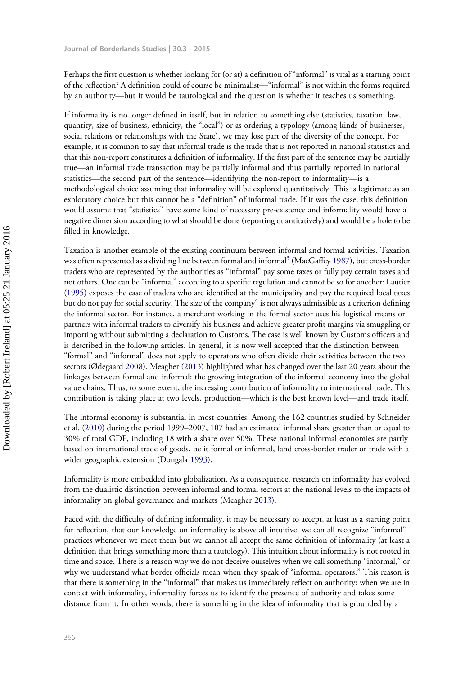Perhaps the first question is whether looking for (or at) a definition of "informal" is vital as a starting point of the reflection? A definition could of course be minimalist—"informal" is not within the forms required by an authority—but it would be tautological and the question is whether it teaches us something.

If informality is no longer defined in itself, but in relation to something else (statistics, taxation, law, quantity, size of business, ethnicity, the "local") or as ordering a typology (among kinds of businesses, social relations or relationships with the State), we may lose part of the diversity of the concept. For example, it is common to say that informal trade is the trade that is not reported in national statistics and that this non-report constitutes a definition of informality. If the first part of the sentence may be partially true—an informal trade transaction may be partially informal and thus partially reported in national statistics—the second part of the sentence—identifying the non-report to informality—is a methodological choice assuming that informality will be explored quantitatively. This is legitimate as an exploratory choice but this cannot be a "definition" of informal trade. If it was the case, this definition would assume that "statistics" have some kind of necessary pre-existence and informality would have a negative dimension according to what should be done (reporting quantitatively) and would be a hole to be filled in knowledge.

Taxation is another example of the existing continuum between informal and formal activities. Taxation was often represented as a dividing line between formal and informal<sup>3</sup> (MacGaffey [1987](#page-15-0)), but cross-border traders who are represented by the authorities as "informal" pay some taxes or fully pay certain taxes and not others. One can be "informal" according to a specific regulation and cannot be so for another: Lautier [\(1995](#page-15-0)) exposes the case of traders who are identified at the municipality and pay the required local taxes but do not pay for social security. The size of the company<sup>[4](#page-13-0)</sup> is not always admissible as a criterion defining the informal sector. For instance, a merchant working in the formal sector uses his logistical means or partners with informal traders to diversify his business and achieve greater profit margins via smuggling or importing without submitting a declaration to Customs. The case is well known by Customs officers and is described in the following articles. In general, it is now well accepted that the distinction between "formal" and "informal" does not apply to operators who often divide their activities between the two sectors (Ødegaard [2008\)](#page-15-0). Meagher [\(2013](#page-15-0)) highlighted what has changed over the last 20 years about the linkages between formal and informal: the growing integration of the informal economy into the global value chains. Thus, to some extent, the increasing contribution of informality to international trade. This contribution is taking place at two levels, production—which is the best known level—and trade itself.

The informal economy is substantial in most countries. Among the 162 countries studied by Schneider et al. [\(2010](#page-16-0)) during the period 1999–2007, 107 had an estimated informal share greater than or equal to 30% of total GDP, including 18 with a share over 50%. These national informal economies are partly based on international trade of goods, be it formal or informal, land cross-border trader or trade with a wider geographic extension (Dongala [1993](#page-14-0)).

Informality is more embedded into globalization. As a consequence, research on informality has evolved from the dualistic distinction between informal and formal sectors at the national levels to the impacts of informality on global governance and markets (Meagher [2013\)](#page-15-0).

Faced with the difficulty of defining informality, it may be necessary to accept, at least as a starting point for reflection, that our knowledge on informality is above all intuitive: we can all recognize "informal" practices whenever we meet them but we cannot all accept the same definition of informality (at least a definition that brings something more than a tautology). This intuition about informality is not rooted in time and space. There is a reason why we do not deceive ourselves when we call something "informal," or why we understand what border officials mean when they speak of "informal operators." This reason is that there is something in the "informal" that makes us immediately reflect on authority: when we are in contact with informality, informality forces us to identify the presence of authority and takes some distance from it. In other words, there is something in the idea of informality that is grounded by a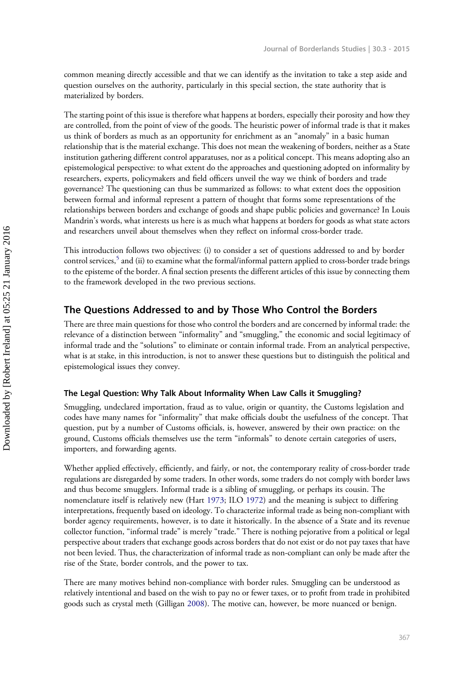common meaning directly accessible and that we can identify as the invitation to take a step aside and question ourselves on the authority, particularly in this special section, the state authority that is materialized by borders.

The starting point of this issue is therefore what happens at borders, especially their porosity and how they are controlled, from the point of view of the goods. The heuristic power of informal trade is that it makes us think of borders as much as an opportunity for enrichment as an "anomaly" in a basic human relationship that is the material exchange. This does not mean the weakening of borders, neither as a State institution gathering different control apparatuses, nor as a political concept. This means adopting also an epistemological perspective: to what extent do the approaches and questioning adopted on informality by researchers, experts, policymakers and field officers unveil the way we think of borders and trade governance? The questioning can thus be summarized as follows: to what extent does the opposition between formal and informal represent a pattern of thought that forms some representations of the relationships between borders and exchange of goods and shape public policies and governance? In Louis Mandrin's words, what interests us here is as much what happens at borders for goods as what state actors and researchers unveil about themselves when they reflect on informal cross-border trade.

This introduction follows two objectives: (i) to consider a set of questions addressed to and by border control services,<sup>[5](#page-13-0)</sup> and (ii) to examine what the formal/informal pattern applied to cross-border trade brings to the episteme of the border. A final section presents the different articles of this issue by connecting them to the framework developed in the two previous sections.

# The Questions Addressed to and by Those Who Control the Borders

There are three main questions for those who control the borders and are concerned by informal trade: the relevance of a distinction between "informality" and "smuggling," the economic and social legitimacy of informal trade and the "solutions" to eliminate or contain informal trade. From an analytical perspective, what is at stake, in this introduction, is not to answer these questions but to distinguish the political and epistemological issues they convey.

# The Legal Question: Why Talk About Informality When Law Calls it Smuggling?

Smuggling, undeclared importation, fraud as to value, origin or quantity, the Customs legislation and codes have many names for "informality" that make officials doubt the usefulness of the concept. That question, put by a number of Customs officials, is, however, answered by their own practice: on the ground, Customs officials themselves use the term "informals" to denote certain categories of users, importers, and forwarding agents.

Whether applied effectively, efficiently, and fairly, or not, the contemporary reality of cross-border trade regulations are disregarded by some traders. In other words, some traders do not comply with border laws and thus become smugglers. Informal trade is a sibling of smuggling, or perhaps its cousin. The nomenclature itself is relatively new (Hart [1973](#page-14-0); ILO [1972](#page-14-0)) and the meaning is subject to differing interpretations, frequently based on ideology. To characterize informal trade as being non-compliant with border agency requirements, however, is to date it historically. In the absence of a State and its revenue collector function, "informal trade" is merely "trade." There is nothing pejorative from a political or legal perspective about traders that exchange goods across borders that do not exist or do not pay taxes that have not been levied. Thus, the characterization of informal trade as non-compliant can only be made after the rise of the State, border controls, and the power to tax.

There are many motives behind non-compliance with border rules. Smuggling can be understood as relatively intentional and based on the wish to pay no or fewer taxes, or to profit from trade in prohibited goods such as crystal meth (Gilligan [2008\)](#page-14-0). The motive can, however, be more nuanced or benign.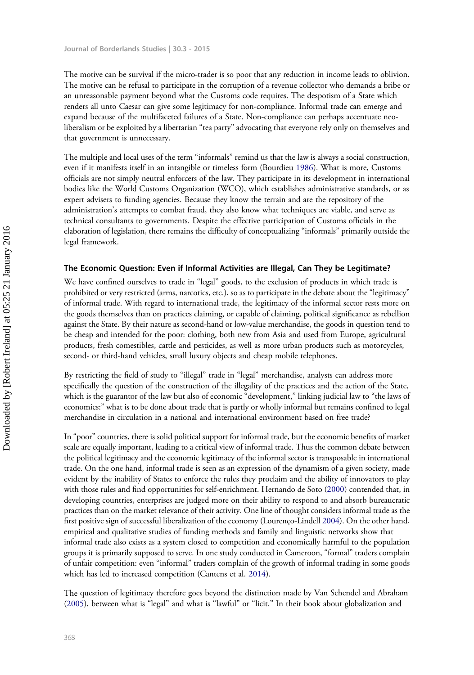The motive can be survival if the micro-trader is so poor that any reduction in income leads to oblivion. The motive can be refusal to participate in the corruption of a revenue collector who demands a bribe or an unreasonable payment beyond what the Customs code requires. The despotism of a State which renders all unto Caesar can give some legitimacy for non-compliance. Informal trade can emerge and expand because of the multifaceted failures of a State. Non-compliance can perhaps accentuate neoliberalism or be exploited by a libertarian "tea party" advocating that everyone rely only on themselves and that government is unnecessary.

The multiple and local uses of the term "informals" remind us that the law is always a social construction, even if it manifests itself in an intangible or timeless form (Bourdieu [1986](#page-14-0)). What is more, Customs officials are not simply neutral enforcers of the law. They participate in its development in international bodies like the World Customs Organization (WCO), which establishes administrative standards, or as expert advisers to funding agencies. Because they know the terrain and are the repository of the administration's attempts to combat fraud, they also know what techniques are viable, and serve as technical consultants to governments. Despite the effective participation of Customs officials in the elaboration of legislation, there remains the difficulty of conceptualizing "informals" primarily outside the legal framework.

#### The Economic Question: Even if Informal Activities are Illegal, Can They be Legitimate?

We have confined ourselves to trade in "legal" goods, to the exclusion of products in which trade is prohibited or very restricted (arms, narcotics, etc.), so as to participate in the debate about the "legitimacy" of informal trade. With regard to international trade, the legitimacy of the informal sector rests more on the goods themselves than on practices claiming, or capable of claiming, political significance as rebellion against the State. By their nature as second-hand or low-value merchandise, the goods in question tend to be cheap and intended for the poor: clothing, both new from Asia and used from Europe, agricultural products, fresh comestibles, cattle and pesticides, as well as more urban products such as motorcycles, second- or third-hand vehicles, small luxury objects and cheap mobile telephones.

By restricting the field of study to "illegal" trade in "legal" merchandise, analysts can address more specifically the question of the construction of the illegality of the practices and the action of the State, which is the guarantor of the law but also of economic "development," linking judicial law to "the laws of economics:" what is to be done about trade that is partly or wholly informal but remains confined to legal merchandise in circulation in a national and international environment based on free trade?

In "poor" countries, there is solid political support for informal trade, but the economic benefits of market scale are equally important, leading to a critical view of informal trade. Thus the common debate between the political legitimacy and the economic legitimacy of the informal sector is transposable in international trade. On the one hand, informal trade is seen as an expression of the dynamism of a given society, made evident by the inability of States to enforce the rules they proclaim and the ability of innovators to play with those rules and find opportunities for self-enrichment. Hernando de Soto [\(2000](#page-16-0)) contended that, in developing countries, enterprises are judged more on their ability to respond to and absorb bureaucratic practices than on the market relevance of their activity. One line of thought considers informal trade as the first positive sign of successful liberalization of the economy (Lourenço-Lindell [2004](#page-15-0)). On the other hand, empirical and qualitative studies of funding methods and family and linguistic networks show that informal trade also exists as a system closed to competition and economically harmful to the population groups it is primarily supposed to serve. In one study conducted in Cameroon, "formal" traders complain of unfair competition: even "informal" traders complain of the growth of informal trading in some goods which has led to increased competition (Cantens et al. [2014\)](#page-14-0).

The question of legitimacy therefore goes beyond the distinction made by Van Schendel and Abraham [\(2005](#page-16-0)), between what is "legal" and what is "lawful" or "licit." In their book about globalization and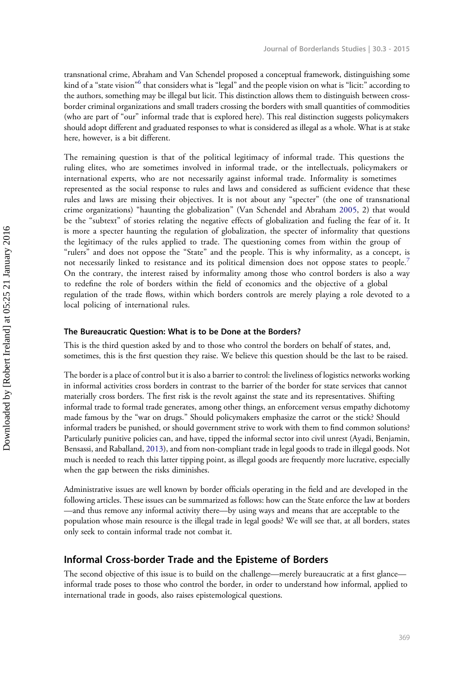transnational crime, Abraham and Van Schendel proposed a conceptual framework, distinguishing some kind of a "state vision" that considers what is "legal" and the people vision on what is "licit:" according to the authors, something may be illegal but licit. This distinction allows them to distinguish between crossborder criminal organizations and small traders crossing the borders with small quantities of commodities (who are part of "our" informal trade that is explored here). This real distinction suggests policymakers should adopt different and graduated responses to what is considered as illegal as a whole. What is at stake here, however, is a bit different.

The remaining question is that of the political legitimacy of informal trade. This questions the ruling elites, who are sometimes involved in informal trade, or the intellectuals, policymakers or international experts, who are not necessarily against informal trade. Informality is sometimes represented as the social response to rules and laws and considered as sufficient evidence that these rules and laws are missing their objectives. It is not about any "specter" (the one of transnational crime organizations) "haunting the globalization" (Van Schendel and Abraham [2005,](#page-16-0) 2) that would be the "subtext" of stories relating the negative effects of globalization and fueling the fear of it. It is more a specter haunting the regulation of globalization, the specter of informality that questions the legitimacy of the rules applied to trade. The questioning comes from within the group of "rulers" and does not oppose the "State" and the people. This is why informality, as a concept, is not necessarily linked to resistance and its political dimension does not oppose states to people.<sup>[7](#page-13-0)</sup> On the contrary, the interest raised by informality among those who control borders is also a way to redefine the role of borders within the field of economics and the objective of a global regulation of the trade flows, within which borders controls are merely playing a role devoted to a local policing of international rules.

#### The Bureaucratic Question: What is to be Done at the Borders?

This is the third question asked by and to those who control the borders on behalf of states, and, sometimes, this is the first question they raise. We believe this question should be the last to be raised.

The border is a place of control but it is also a barrier to control: the liveliness of logistics networks working in informal activities cross borders in contrast to the barrier of the border for state services that cannot materially cross borders. The first risk is the revolt against the state and its representatives. Shifting informal trade to formal trade generates, among other things, an enforcement versus empathy dichotomy made famous by the "war on drugs." Should policymakers emphasize the carrot or the stick? Should informal traders be punished, or should government strive to work with them to find common solutions? Particularly punitive policies can, and have, tipped the informal sector into civil unrest (Ayadi, Benjamin, Bensassi, and Raballand, [2013\)](#page-14-0), and from non-compliant trade in legal goods to trade in illegal goods. Not much is needed to reach this latter tipping point, as illegal goods are frequently more lucrative, especially when the gap between the risks diminishes.

Administrative issues are well known by border officials operating in the field and are developed in the following articles. These issues can be summarized as follows: how can the State enforce the law at borders —and thus remove any informal activity there—by using ways and means that are acceptable to the population whose main resource is the illegal trade in legal goods? We will see that, at all borders, states only seek to contain informal trade not combat it.

# Informal Cross-border Trade and the Episteme of Borders

The second objective of this issue is to build on the challenge—merely bureaucratic at a first glance informal trade poses to those who control the border, in order to understand how informal, applied to international trade in goods, also raises epistemological questions.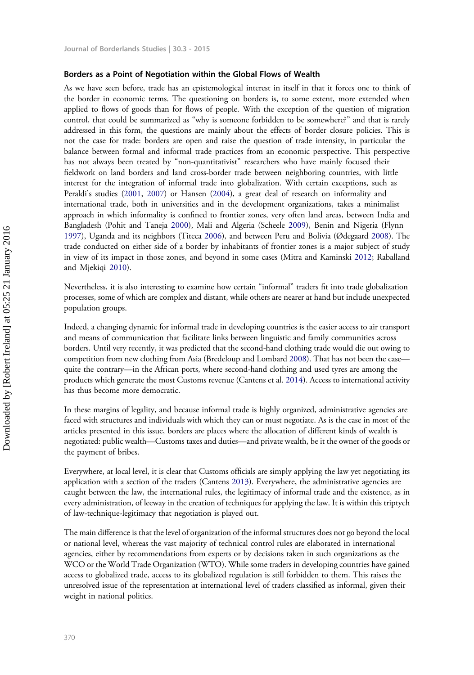#### Borders as a Point of Negotiation within the Global Flows of Wealth

As we have seen before, trade has an epistemological interest in itself in that it forces one to think of the border in economic terms. The questioning on borders is, to some extent, more extended when applied to flows of goods than for flows of people. With the exception of the question of migration control, that could be summarized as "why is someone forbidden to be somewhere?" and that is rarely addressed in this form, the questions are mainly about the effects of border closure policies. This is not the case for trade: borders are open and raise the question of trade intensity, in particular the balance between formal and informal trade practices from an economic perspective. This perspective has not always been treated by "non-quantitativist" researchers who have mainly focused their fieldwork on land borders and land cross-border trade between neighboring countries, with little interest for the integration of informal trade into globalization. With certain exceptions, such as Peraldi's studies [\(2001,](#page-15-0) [2007\)](#page-15-0) or Hansen [\(2004](#page-14-0)), a great deal of research on informality and international trade, both in universities and in the development organizations, takes a minimalist approach in which informality is confined to frontier zones, very often land areas, between India and Bangladesh (Pohit and Taneja [2000](#page-15-0)), Mali and Algeria (Scheele [2009](#page-16-0)), Benin and Nigeria (Flynn [1997\)](#page-14-0), Uganda and its neighbors (Titeca [2006\)](#page-16-0), and between Peru and Bolivia (Ødegaard [2008\)](#page-15-0). The trade conducted on either side of a border by inhabitants of frontier zones is a major subject of study in view of its impact in those zones, and beyond in some cases (Mitra and Kaminski [2012](#page-15-0); Raballand and Mjekiqi [2010\)](#page-16-0).

Nevertheless, it is also interesting to examine how certain "informal" traders fit into trade globalization processes, some of which are complex and distant, while others are nearer at hand but include unexpected population groups.

Indeed, a changing dynamic for informal trade in developing countries is the easier access to air transport and means of communication that facilitate links between linguistic and family communities across borders. Until very recently, it was predicted that the second-hand clothing trade would die out owing to competition from new clothing from Asia (Bredeloup and Lombard [2008](#page-14-0)). That has not been the case quite the contrary—in the African ports, where second-hand clothing and used tyres are among the products which generate the most Customs revenue (Cantens et al. [2014](#page-14-0)). Access to international activity has thus become more democratic.

In these margins of legality, and because informal trade is highly organized, administrative agencies are faced with structures and individuals with which they can or must negotiate. As is the case in most of the articles presented in this issue, borders are places where the allocation of different kinds of wealth is negotiated: public wealth—Customs taxes and duties—and private wealth, be it the owner of the goods or the payment of bribes.

Everywhere, at local level, it is clear that Customs officials are simply applying the law yet negotiating its application with a section of the traders (Cantens [2013](#page-14-0)). Everywhere, the administrative agencies are caught between the law, the international rules, the legitimacy of informal trade and the existence, as in every administration, of leeway in the creation of techniques for applying the law. It is within this triptych of law-technique-legitimacy that negotiation is played out.

The main difference is that the level of organization of the informal structures does not go beyond the local or national level, whereas the vast majority of technical control rules are elaborated in international agencies, either by recommendations from experts or by decisions taken in such organizations as the WCO or the World Trade Organization (WTO). While some traders in developing countries have gained access to globalized trade, access to its globalized regulation is still forbidden to them. This raises the unresolved issue of the representation at international level of traders classified as informal, given their weight in national politics.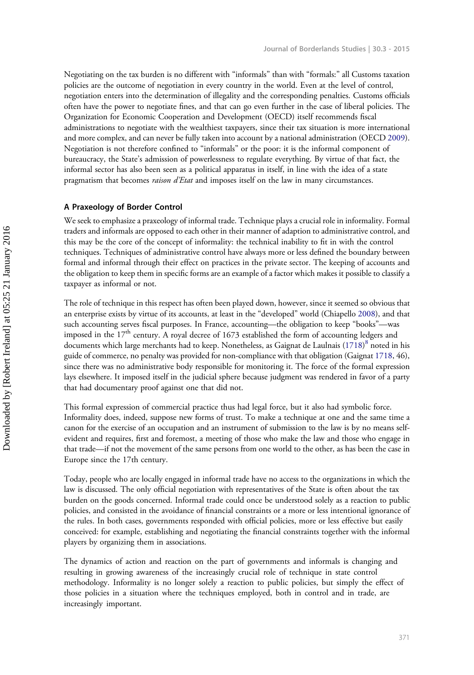Negotiating on the tax burden is no different with "informals" than with "formals:" all Customs taxation policies are the outcome of negotiation in every country in the world. Even at the level of control, negotiation enters into the determination of illegality and the corresponding penalties. Customs officials often have the power to negotiate fines, and that can go even further in the case of liberal policies. The Organization for Economic Cooperation and Development (OECD) itself recommends fiscal administrations to negotiate with the wealthiest taxpayers, since their tax situation is more international and more complex, and can never be fully taken into account by a national administration (OECD [2009\)](#page-15-0). Negotiation is not therefore confined to "informals" or the poor: it is the informal component of bureaucracy, the State's admission of powerlessness to regulate everything. By virtue of that fact, the informal sector has also been seen as a political apparatus in itself, in line with the idea of a state pragmatism that becomes raison d'Etat and imposes itself on the law in many circumstances.

# A Praxeology of Border Control

We seek to emphasize a praxeology of informal trade. Technique plays a crucial role in informality. Formal traders and informals are opposed to each other in their manner of adaption to administrative control, and this may be the core of the concept of informality: the technical inability to fit in with the control techniques. Techniques of administrative control have always more or less defined the boundary between formal and informal through their effect on practices in the private sector. The keeping of accounts and the obligation to keep them in specific forms are an example of a factor which makes it possible to classify a taxpayer as informal or not.

The role of technique in this respect has often been played down, however, since it seemed so obvious that an enterprise exists by virtue of its accounts, at least in the "developed" world (Chiapello [2008\)](#page-14-0), and that such accounting serves fiscal purposes. In France, accounting—the obligation to keep "books"—was imposed in the  $17<sup>th</sup>$  century. A royal decree of 1673 established the form of accounting ledgers and documents which large merchants had to keep. Nonetheless, as Gaignat de Laulnais [\(1718](#page-14-0))<sup>[8](#page-13-0)</sup> noted in his guide of commerce, no penalty was provided for non-compliance with that obligation (Gaignat [1718](#page-14-0), 46), since there was no administrative body responsible for monitoring it. The force of the formal expression lays elsewhere. It imposed itself in the judicial sphere because judgment was rendered in favor of a party that had documentary proof against one that did not.

This formal expression of commercial practice thus had legal force, but it also had symbolic force. Informality does, indeed, suppose new forms of trust. To make a technique at one and the same time a canon for the exercise of an occupation and an instrument of submission to the law is by no means selfevident and requires, first and foremost, a meeting of those who make the law and those who engage in that trade—if not the movement of the same persons from one world to the other, as has been the case in Europe since the 17th century.

Today, people who are locally engaged in informal trade have no access to the organizations in which the law is discussed. The only official negotiation with representatives of the State is often about the tax burden on the goods concerned. Informal trade could once be understood solely as a reaction to public policies, and consisted in the avoidance of financial constraints or a more or less intentional ignorance of the rules. In both cases, governments responded with official policies, more or less effective but easily conceived: for example, establishing and negotiating the financial constraints together with the informal players by organizing them in associations.

The dynamics of action and reaction on the part of governments and informals is changing and resulting in growing awareness of the increasingly crucial role of technique in state control methodology. Informality is no longer solely a reaction to public policies, but simply the effect of those policies in a situation where the techniques employed, both in control and in trade, are increasingly important.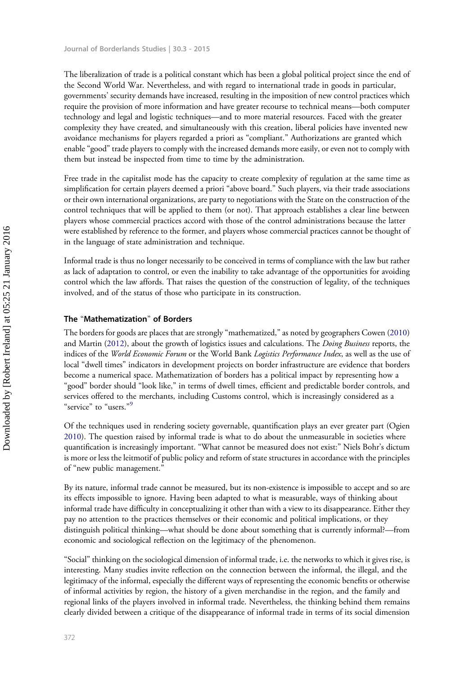The liberalization of trade is a political constant which has been a global political project since the end of the Second World War. Nevertheless, and with regard to international trade in goods in particular, governments' security demands have increased, resulting in the imposition of new control practices which require the provision of more information and have greater recourse to technical means—both computer technology and legal and logistic techniques—and to more material resources. Faced with the greater complexity they have created, and simultaneously with this creation, liberal policies have invented new avoidance mechanisms for players regarded a priori as "compliant." Authorizations are granted which enable "good" trade players to comply with the increased demands more easily, or even not to comply with them but instead be inspected from time to time by the administration.

Free trade in the capitalist mode has the capacity to create complexity of regulation at the same time as simplification for certain players deemed a priori "above board." Such players, via their trade associations or their own international organizations, are party to negotiations with the State on the construction of the control techniques that will be applied to them (or not). That approach establishes a clear line between players whose commercial practices accord with those of the control administrations because the latter were established by reference to the former, and players whose commercial practices cannot be thought of in the language of state administration and technique.

Informal trade is thus no longer necessarily to be conceived in terms of compliance with the law but rather as lack of adaptation to control, or even the inability to take advantage of the opportunities for avoiding control which the law affords. That raises the question of the construction of legality, of the techniques involved, and of the status of those who participate in its construction.

# The "Mathematization" of Borders

The borders for goods are places that are strongly "mathematized," as noted by geographers Cowen ([2010\)](#page-14-0) and Martin [\(2012](#page-15-0)), about the growth of logistics issues and calculations. The *Doing Business* reports, the indices of the World Economic Forum or the World Bank Logistics Performance Index, as well as the use of local "dwell times" indicators in development projects on border infrastructure are evidence that borders become a numerical space. Mathematization of borders has a political impact by representing how a "good" border should "look like," in terms of dwell times, efficient and predictable border controls, and services offered to the merchants, including Customs control, which is increasingly considered as a "service" to "users."<sup>[9](#page-13-0)</sup>

Of the techniques used in rendering society governable, quantification plays an ever greater part (Ogien [2010\)](#page-15-0). The question raised by informal trade is what to do about the unmeasurable in societies where quantification is increasingly important. "What cannot be measured does not exist:" Niels Bohr's dictum is more or less the leitmotif of public policy and reform of state structures in accordance with the principles of "new public management."

By its nature, informal trade cannot be measured, but its non-existence is impossible to accept and so are its effects impossible to ignore. Having been adapted to what is measurable, ways of thinking about informal trade have difficulty in conceptualizing it other than with a view to its disappearance. Either they pay no attention to the practices themselves or their economic and political implications, or they distinguish political thinking—what should be done about something that is currently informal?—from economic and sociological reflection on the legitimacy of the phenomenon.

"Social" thinking on the sociological dimension of informal trade, i.e. the networks to which it gives rise, is interesting. Many studies invite reflection on the connection between the informal, the illegal, and the legitimacy of the informal, especially the different ways of representing the economic benefits or otherwise of informal activities by region, the history of a given merchandise in the region, and the family and regional links of the players involved in informal trade. Nevertheless, the thinking behind them remains clearly divided between a critique of the disappearance of informal trade in terms of its social dimension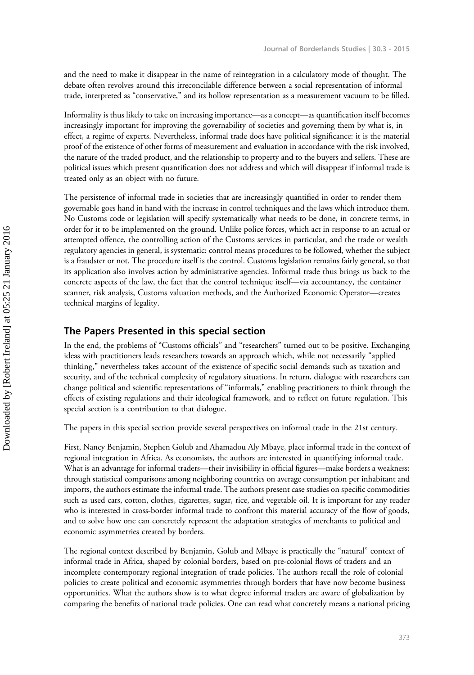and the need to make it disappear in the name of reintegration in a calculatory mode of thought. The debate often revolves around this irreconcilable difference between a social representation of informal trade, interpreted as "conservative," and its hollow representation as a measurement vacuum to be filled.

Informality is thus likely to take on increasing importance—as a concept—as quantification itself becomes increasingly important for improving the governability of societies and governing them by what is, in effect, a regime of experts. Nevertheless, informal trade does have political significance: it is the material proof of the existence of other forms of measurement and evaluation in accordance with the risk involved, the nature of the traded product, and the relationship to property and to the buyers and sellers. These are political issues which present quantification does not address and which will disappear if informal trade is treated only as an object with no future.

The persistence of informal trade in societies that are increasingly quantified in order to render them governable goes hand in hand with the increase in control techniques and the laws which introduce them. No Customs code or legislation will specify systematically what needs to be done, in concrete terms, in order for it to be implemented on the ground. Unlike police forces, which act in response to an actual or attempted offence, the controlling action of the Customs services in particular, and the trade or wealth regulatory agencies in general, is systematic: control means procedures to be followed, whether the subject is a fraudster or not. The procedure itself is the control. Customs legislation remains fairly general, so that its application also involves action by administrative agencies. Informal trade thus brings us back to the concrete aspects of the law, the fact that the control technique itself—via accountancy, the container scanner, risk analysis, Customs valuation methods, and the Authorized Economic Operator—creates technical margins of legality.

# The Papers Presented in this special section

In the end, the problems of "Customs officials" and "researchers" turned out to be positive. Exchanging ideas with practitioners leads researchers towards an approach which, while not necessarily "applied thinking," nevertheless takes account of the existence of specific social demands such as taxation and security, and of the technical complexity of regulatory situations. In return, dialogue with researchers can change political and scientific representations of "informals," enabling practitioners to think through the effects of existing regulations and their ideological framework, and to reflect on future regulation. This special section is a contribution to that dialogue.

The papers in this special section provide several perspectives on informal trade in the 21st century.

First, Nancy Benjamin, Stephen Golub and Ahamadou Aly Mbaye, place informal trade in the context of regional integration in Africa. As economists, the authors are interested in quantifying informal trade. What is an advantage for informal traders—their invisibility in official figures—make borders a weakness: through statistical comparisons among neighboring countries on average consumption per inhabitant and imports, the authors estimate the informal trade. The authors present case studies on specific commodities such as used cars, cotton, clothes, cigarettes, sugar, rice, and vegetable oil. It is important for any reader who is interested in cross-border informal trade to confront this material accuracy of the flow of goods, and to solve how one can concretely represent the adaptation strategies of merchants to political and economic asymmetries created by borders.

The regional context described by Benjamin, Golub and Mbaye is practically the "natural" context of informal trade in Africa, shaped by colonial borders, based on pre-colonial flows of traders and an incomplete contemporary regional integration of trade policies. The authors recall the role of colonial policies to create political and economic asymmetries through borders that have now become business opportunities. What the authors show is to what degree informal traders are aware of globalization by comparing the benefits of national trade policies. One can read what concretely means a national pricing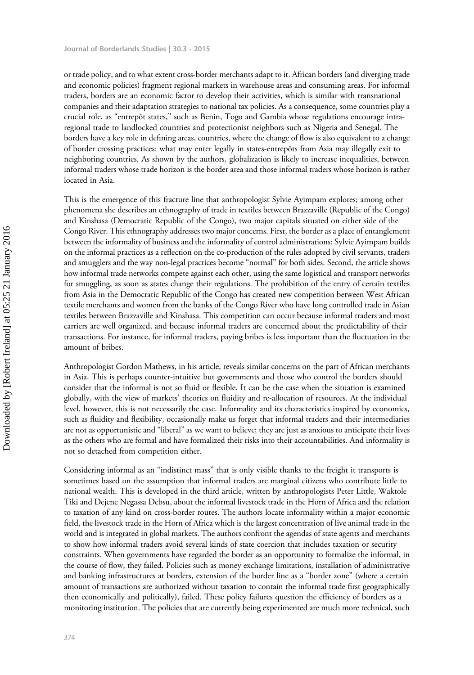or trade policy, and to what extent cross-border merchants adapt to it. African borders (and diverging trade and economic policies) fragment regional markets in warehouse areas and consuming areas. For informal traders, borders are an economic factor to develop their activities, which is similar with transnational companies and their adaptation strategies to national tax policies. As a consequence, some countries play a crucial role, as "entrepôt states," such as Benin, Togo and Gambia whose regulations encourage intraregional trade to landlocked countries and protectionist neighbors such as Nigeria and Senegal. The borders have a key role in defining areas, countries, where the change of flow is also equivalent to a change of border crossing practices: what may enter legally in states-entrepôts from Asia may illegally exit to neighboring countries. As shown by the authors, globalization is likely to increase inequalities, between informal traders whose trade horizon is the border area and those informal traders whose horizon is rather located in Asia.

This is the emergence of this fracture line that anthropologist Sylvie Ayimpam explores; among other phenomena she describes an ethnography of trade in textiles between Brazzaville (Republic of the Congo) and Kinshasa (Democratic Republic of the Congo), two major capitals situated on either side of the Congo River. This ethnography addresses two major concerns. First, the border as a place of entanglement between the informality of business and the informality of control administrations: Sylvie Ayimpam builds on the informal practices as a reflection on the co-production of the rules adopted by civil servants, traders and smugglers and the way non-legal practices become "normal" for both sides. Second, the article shows how informal trade networks compete against each other, using the same logistical and transport networks for smuggling, as soon as states change their regulations. The prohibition of the entry of certain textiles from Asia in the Democratic Republic of the Congo has created new competition between West African textile merchants and women from the banks of the Congo River who have long controlled trade in Asian textiles between Brazzaville and Kinshasa. This competition can occur because informal traders and most carriers are well organized, and because informal traders are concerned about the predictability of their transactions. For instance, for informal traders, paying bribes is less important than the fluctuation in the amount of bribes.

Anthropologist Gordon Mathews, in his article, reveals similar concerns on the part of African merchants in Asia. This is perhaps counter-intuitive but governments and those who control the borders should consider that the informal is not so fluid or flexible. It can be the case when the situation is examined globally, with the view of markets' theories on fluidity and re-allocation of resources. At the individual level, however, this is not necessarily the case. Informality and its characteristics inspired by economics, such as fluidity and flexibility, occasionally make us forget that informal traders and their intermediaries are not as opportunistic and "liberal" as we want to believe; they are just as anxious to anticipate their lives as the others who are formal and have formalized their risks into their accountabilities. And informality is not so detached from competition either.

Considering informal as an "indistinct mass" that is only visible thanks to the freight it transports is sometimes based on the assumption that informal traders are marginal citizens who contribute little to national wealth. This is developed in the third article, written by anthropologists Peter Little, Waktole Tiki and Dejene Negassa Debsu, about the informal livestock trade in the Horn of Africa and the relation to taxation of any kind on cross-border routes. The authors locate informality within a major economic field, the livestock trade in the Horn of Africa which is the largest concentration of live animal trade in the world and is integrated in global markets. The authors confront the agendas of state agents and merchants to show how informal traders avoid several kinds of state coercion that includes taxation or security constraints. When governments have regarded the border as an opportunity to formalize the informal, in the course of flow, they failed. Policies such as money exchange limitations, installation of administrative and banking infrastructures at borders, extension of the border line as a "border zone" (where a certain amount of transactions are authorized without taxation to contain the informal trade first geographically then economically and politically), failed. These policy failures question the efficiency of borders as a monitoring institution. The policies that are currently being experimented are much more technical, such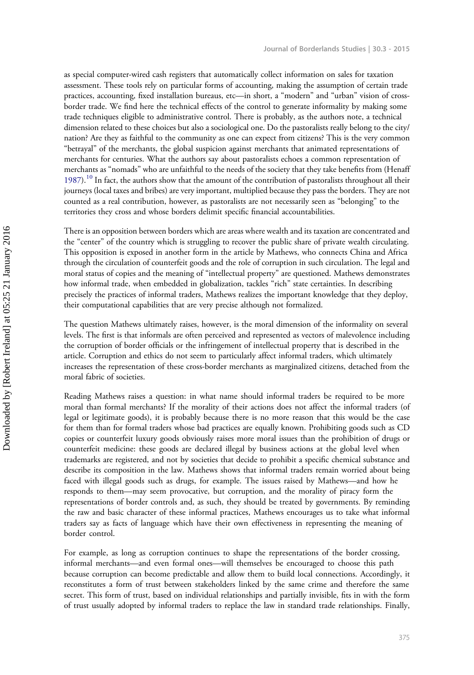as special computer-wired cash registers that automatically collect information on sales for taxation assessment. These tools rely on particular forms of accounting, making the assumption of certain trade practices, accounting, fixed installation bureaus, etc—in short, a "modern" and "urban" vision of crossborder trade. We find here the technical effects of the control to generate informality by making some trade techniques eligible to administrative control. There is probably, as the authors note, a technical dimension related to these choices but also a sociological one. Do the pastoralists really belong to the city/ nation? Are they as faithful to the community as one can expect from citizens? This is the very common "betrayal" of the merchants, the global suspicion against merchants that animated representations of merchants for centuries. What the authors say about pastoralists echoes a common representation of merchants as "nomads" who are unfaithful to the needs of the society that they take benefits from (Henaff  $1987$ ).<sup>[10](#page-13-0)</sup> In fact, the authors show that the amount of the contribution of pastoralists throughout all their journeys (local taxes and bribes) are very important, multiplied because they pass the borders. They are not counted as a real contribution, however, as pastoralists are not necessarily seen as "belonging" to the territories they cross and whose borders delimit specific financial accountabilities.

There is an opposition between borders which are areas where wealth and its taxation are concentrated and the "center" of the country which is struggling to recover the public share of private wealth circulating. This opposition is exposed in another form in the article by Mathews, who connects China and Africa through the circulation of counterfeit goods and the role of corruption in such circulation. The legal and moral status of copies and the meaning of "intellectual property" are questioned. Mathews demonstrates how informal trade, when embedded in globalization, tackles "rich" state certainties. In describing precisely the practices of informal traders, Mathews realizes the important knowledge that they deploy, their computational capabilities that are very precise although not formalized.

The question Mathews ultimately raises, however, is the moral dimension of the informality on several levels. The first is that informals are often perceived and represented as vectors of malevolence including the corruption of border officials or the infringement of intellectual property that is described in the article. Corruption and ethics do not seem to particularly affect informal traders, which ultimately increases the representation of these cross-border merchants as marginalized citizens, detached from the moral fabric of societies.

Reading Mathews raises a question: in what name should informal traders be required to be more moral than formal merchants? If the morality of their actions does not affect the informal traders (of legal or legitimate goods), it is probably because there is no more reason that this would be the case for them than for formal traders whose bad practices are equally known. Prohibiting goods such as CD copies or counterfeit luxury goods obviously raises more moral issues than the prohibition of drugs or counterfeit medicine: these goods are declared illegal by business actions at the global level when trademarks are registered, and not by societies that decide to prohibit a specific chemical substance and describe its composition in the law. Mathews shows that informal traders remain worried about being faced with illegal goods such as drugs, for example. The issues raised by Mathews—and how he responds to them—may seem provocative, but corruption, and the morality of piracy form the representations of border controls and, as such, they should be treated by governments. By reminding the raw and basic character of these informal practices, Mathews encourages us to take what informal traders say as facts of language which have their own effectiveness in representing the meaning of border control.

For example, as long as corruption continues to shape the representations of the border crossing, informal merchants—and even formal ones—will themselves be encouraged to choose this path because corruption can become predictable and allow them to build local connections. Accordingly, it reconstitutes a form of trust between stakeholders linked by the same crime and therefore the same secret. This form of trust, based on individual relationships and partially invisible, fits in with the form of trust usually adopted by informal traders to replace the law in standard trade relationships. Finally,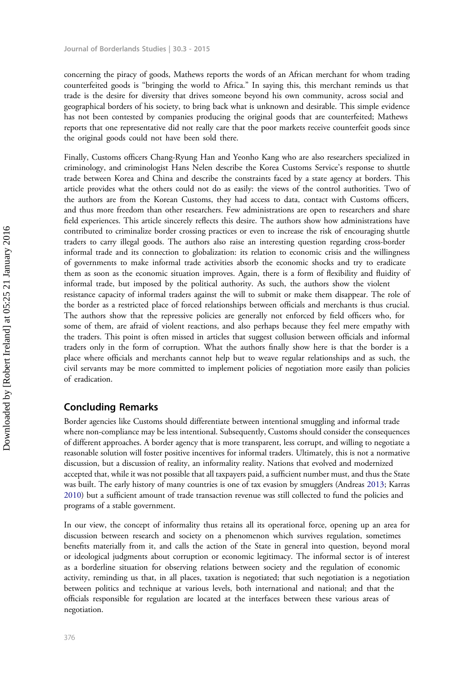concerning the piracy of goods, Mathews reports the words of an African merchant for whom trading counterfeited goods is "bringing the world to Africa." In saying this, this merchant reminds us that trade is the desire for diversity that drives someone beyond his own community, across social and geographical borders of his society, to bring back what is unknown and desirable. This simple evidence has not been contested by companies producing the original goods that are counterfeited; Mathews reports that one representative did not really care that the poor markets receive counterfeit goods since the original goods could not have been sold there.

Finally, Customs officers Chang-Ryung Han and Yeonho Kang who are also researchers specialized in criminology, and criminologist Hans Nelen describe the Korea Customs Service's response to shuttle trade between Korea and China and describe the constraints faced by a state agency at borders. This article provides what the others could not do as easily: the views of the control authorities. Two of the authors are from the Korean Customs, they had access to data, contact with Customs officers, and thus more freedom than other researchers. Few administrations are open to researchers and share field experiences. This article sincerely reflects this desire. The authors show how administrations have contributed to criminalize border crossing practices or even to increase the risk of encouraging shuttle traders to carry illegal goods. The authors also raise an interesting question regarding cross-border informal trade and its connection to globalization: its relation to economic crisis and the willingness of governments to make informal trade activities absorb the economic shocks and try to eradicate them as soon as the economic situation improves. Again, there is a form of flexibility and fluidity of informal trade, but imposed by the political authority. As such, the authors show the violent resistance capacity of informal traders against the will to submit or make them disappear. The role of the border as a restricted place of forced relationships between officials and merchants is thus crucial. The authors show that the repressive policies are generally not enforced by field officers who, for some of them, are afraid of violent reactions, and also perhaps because they feel mere empathy with the traders. This point is often missed in articles that suggest collusion between officials and informal traders only in the form of corruption. What the authors finally show here is that the border is a place where officials and merchants cannot help but to weave regular relationships and as such, the civil servants may be more committed to implement policies of negotiation more easily than policies of eradication.

# Concluding Remarks

Border agencies like Customs should differentiate between intentional smuggling and informal trade where non-compliance may be less intentional. Subsequently, Customs should consider the consequences of different approaches. A border agency that is more transparent, less corrupt, and willing to negotiate a reasonable solution will foster positive incentives for informal traders. Ultimately, this is not a normative discussion, but a discussion of reality, an informality reality. Nations that evolved and modernized accepted that, while it was not possible that all taxpayers paid, a sufficient number must, and thus the State was built. The early history of many countries is one of tax evasion by smugglers (Andreas [2013](#page-13-0); Karras [2010\)](#page-15-0) but a sufficient amount of trade transaction revenue was still collected to fund the policies and programs of a stable government.

In our view, the concept of informality thus retains all its operational force, opening up an area for discussion between research and society on a phenomenon which survives regulation, sometimes benefits materially from it, and calls the action of the State in general into question, beyond moral or ideological judgments about corruption or economic legitimacy. The informal sector is of interest as a borderline situation for observing relations between society and the regulation of economic activity, reminding us that, in all places, taxation is negotiated; that such negotiation is a negotiation between politics and technique at various levels, both international and national; and that the officials responsible for regulation are located at the interfaces between these various areas of negotiation.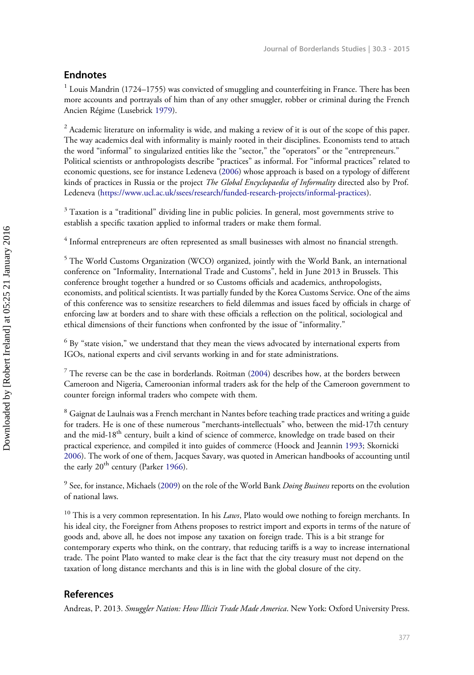# <span id="page-13-0"></span>Endnotes

<sup>1</sup> Louis Mandrin (1724–1755) was convicted of smuggling and counterfeiting in France. There has been more accounts and portrayals of him than of any other smuggler, robber or criminal during the French Ancien Régime (Lusebrick [1979](#page-15-0)).

<sup>2</sup> Academic literature on informality is wide, and making a review of it is out of the scope of this paper. The way academics deal with informality is mainly rooted in their disciplines. Economists tend to attach the word "informal" to singularized entities like the "sector," the "operators" or the "entrepreneurs." Political scientists or anthropologists describe "practices" as informal. For "informal practices" related to economic questions, see for instance Ledeneva ([2006](#page-15-0)) whose approach is based on a typology of different kinds of practices in Russia or the project The Global Encyclopaedia of Informality directed also by Prof. Ledeneva [\(https://www.ucl.ac.uk/ssees/research/funded-research-projects/informal-practices\)](http://www.ucl.ac.uk/ssees/research/funded-research-projects/informal-practices).

 $3$  Taxation is a "traditional" dividing line in public policies. In general, most governments strive to establish a specific taxation applied to informal traders or make them formal.

 $4$  Informal entrepreneurs are often represented as small businesses with almost no financial strength.

<sup>5</sup> The World Customs Organization (WCO) organized, jointly with the World Bank, an international conference on "Informality, International Trade and Customs", held in June 2013 in Brussels. This conference brought together a hundred or so Customs officials and academics, anthropologists, economists, and political scientists. It was partially funded by the Korea Customs Service. One of the aims of this conference was to sensitize researchers to field dilemmas and issues faced by officials in charge of enforcing law at borders and to share with these officials a reflection on the political, sociological and ethical dimensions of their functions when confronted by the issue of "informality."

<sup>6</sup> By "state vision," we understand that they mean the views advocated by international experts from IGOs, national experts and civil servants working in and for state administrations.

 $7$  The reverse can be the case in borderlands. Roitman ([2004\)](#page-16-0) describes how, at the borders between Cameroon and Nigeria, Cameroonian informal traders ask for the help of the Cameroon government to counter foreign informal traders who compete with them.

<sup>8</sup> Gaignat de Laulnais was a French merchant in Nantes before teaching trade practices and writing a guide for traders. He is one of these numerous "merchants-intellectuals" who, between the mid-17th century and the mid-18<sup>th</sup> century, built a kind of science of commerce, knowledge on trade based on their practical experience, and compiled it into guides of commerce (Hoock and Jeannin [1993](#page-14-0); Skornicki [2006\)](#page-16-0). The work of one of them, Jacques Savary, was quoted in American handbooks of accounting until the early  $20<sup>th</sup>$  century (Parker [1966](#page-15-0)).

<sup>9</sup> See, for instance, Michaels ([2009\)](#page-15-0) on the role of the World Bank *Doing Business* reports on the evolution of national laws.

 $10$  This is a very common representation. In his *Laws*, Plato would owe nothing to foreign merchants. In his ideal city, the Foreigner from Athens proposes to restrict import and exports in terms of the nature of goods and, above all, he does not impose any taxation on foreign trade. This is a bit strange for contemporary experts who think, on the contrary, that reducing tariffs is a way to increase international trade. The point Plato wanted to make clear is the fact that the city treasury must not depend on the taxation of long distance merchants and this is in line with the global closure of the city.

# References

Andreas, P. 2013. Smuggler Nation: How Illicit Trade Made America. New York: Oxford University Press.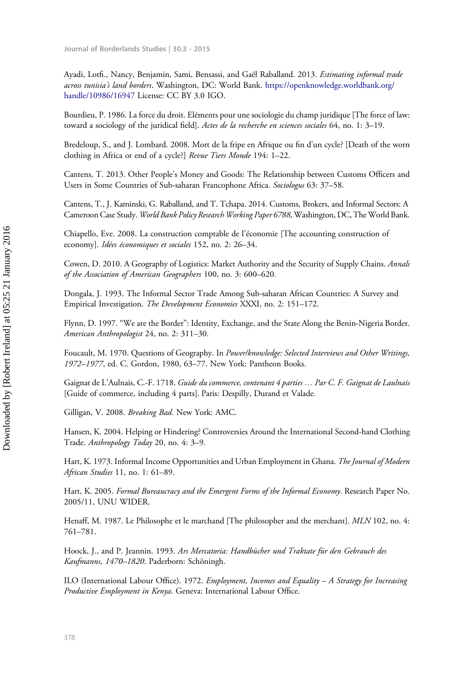<span id="page-14-0"></span>Ayadi, Lotfi., Nancy, Benjamin, Sami, Bensassi, and Gaël Raballand. 2013. Estimating informal trade across tunisia's land borders. Washington, DC: World Bank. [https://openknowledge.worldbank.org/](https://openknowledge.worldbank.org/handle/10986/16947) [handle/10986/16947](https://openknowledge.worldbank.org/handle/10986/16947) License: CC BY 3.0 IGO.

Bourdieu, P. 1986. La force du droit. Eléments pour une sociologie du champ juridique [The force of law: toward a sociology of the juridical field]. Actes de la recherche en sciences sociales 64, no. 1: 3-19.

Bredeloup, S., and J. Lombard. 2008. Mort de la fripe en Afrique ou fin d'un cycle? [Death of the worn clothing in Africa or end of a cycle?] Revue Tiers Monde 194: 1–22.

Cantens, T. 2013. Other People's Money and Goods: The Relationship between Customs Officers and Users in Some Countries of Sub-saharan Francophone Africa. Sociologus 63: 37–58.

Cantens, T., J. Kaminski, G. Raballand, and T. Tchapa. 2014. Customs, Brokers, and Informal Sectors: A Cameroon Case Study. World Bank Policy Research Working Paper 6788, Washington, DC, The World Bank.

Chiapello, Eve. 2008. La construction comptable de l'économie [The accounting construction of economy]. Idées économiques et sociales 152, no. 2: 26–34.

Cowen, D. 2010. A Geography of Logistics: Market Authority and the Security of Supply Chains. Annals of the Association of American Geographers 100, no. 3: 600–620.

Dongala, J. 1993. The Informal Sector Trade Among Sub-saharan African Countries: A Survey and Empirical Investigation. The Development Economies XXXI, no. 2: 151–172.

Flynn, D. 1997. "We are the Border": Identity, Exchange, and the State Along the Benin-Nigeria Border. American Anthropologist 24, no. 2: 311–30.

Foucault, M. 1970. Questions of Geography. In Power/knowledge: Selected Interviews and Other Writings, 1972–1977, ed. C. Gordon, 1980, 63–77. New York: Pantheon Books.

Gaignat de L'Aulnais, C.-F. 1718. Guide du commerce, contenant 4 parties ... Par C. F. Gaignat de Laulnais [Guide of commerce, including 4 parts]. Paris: Despilly, Durand et Valade.

Gilligan, V. 2008. Breaking Bad. New York: AMC.

Hansen, K. 2004. Helping or Hindering? Controversies Around the International Second-hand Clothing Trade. Anthropology Today 20, no. 4: 3–9.

Hart, K. 1973. Informal Income Opportunities and Urban Employment in Ghana. The Journal of Modern African Studies 11, no. 1: 61–89.

Hart, K. 2005. Formal Bureaucracy and the Emergent Forms of the Informal Economy. Research Paper No. 2005/11, UNU WIDER.

Henaff, M. 1987. Le Philosophe et le marchand [The philosopher and the merchant]. MLN 102, no. 4: 761–781.

Hoock, J., and P. Jeannin. 1993. Ars Mercatoria: Handbücher und Traktate für den Gebrauch des Kaufmanns, 1470–1820. Paderborn: Schöningh.

ILO (International Labour Office). 1972. Employment, Incomes and Equality – A Strategy for Increasing Productive Employment in Kenya. Geneva: International Labour Office.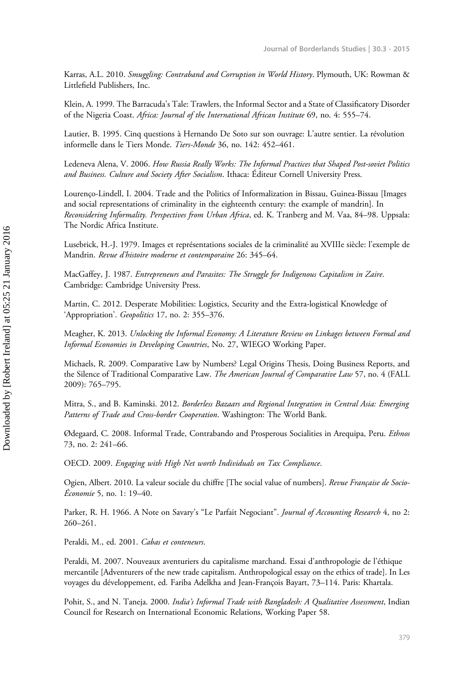<span id="page-15-0"></span>Karras, A.L. 2010. Smuggling: Contraband and Corruption in World History. Plymouth, UK: Rowman & Littlefield Publishers, Inc.

Klein, A. 1999. The Barracuda's Tale: Trawlers, the Informal Sector and a State of Classificatory Disorder of the Nigeria Coast. Africa: Journal of the International African Institute 69, no. 4: 555–74.

Lautier, B. 1995. Cinq questions à Hernando De Soto sur son ouvrage: L'autre sentier. La révolution informelle dans le Tiers Monde. Tiers-Monde 36, no. 142: 452–461.

Ledeneva Alena, V. 2006. How Russia Really Works: The Informal Practices that Shaped Post-soviet Politics and Business. Culture and Society After Socialism. Ithaca: Éditeur Cornell University Press.

Lourenço-Lindell, I. 2004. Trade and the Politics of Informalization in Bissau, Guinea-Bissau [Images and social representations of criminality in the eighteenth century: the example of mandrin]. In Reconsidering Informality. Perspectives from Urban Africa, ed. K. Tranberg and M. Vaa, 84–98. Uppsala: The Nordic Africa Institute.

Lusebrick, H.-J. 1979. Images et représentations sociales de la criminalité au XVIIIe siècle: l'exemple de Mandrin. Revue d'histoire moderne et contemporaine 26: 345–64.

MacGaffey, J. 1987. Entrepreneurs and Parasites: The Struggle for Indigenous Capitalism in Zaire. Cambridge: Cambridge University Press.

Martin, C. 2012. Desperate Mobilities: Logistics, Security and the Extra-logistical Knowledge of 'Appropriation'. Geopolitics 17, no. 2: 355–376.

Meagher, K. 2013. Unlocking the Informal Economy: A Literature Review on Linkages between Formal and Informal Economies in Developing Countries, No. 27, WIEGO Working Paper.

Michaels, R. 2009. Comparative Law by Numbers? Legal Origins Thesis, Doing Business Reports, and the Silence of Traditional Comparative Law. The American Journal of Comparative Law 57, no. 4 (FALL 2009): 765–795.

Mitra, S., and B. Kaminski. 2012. Borderless Bazaars and Regional Integration in Central Asia: Emerging Patterns of Trade and Cross-border Cooperation. Washington: The World Bank.

Ødegaard, C. 2008. Informal Trade, Contrabando and Prosperous Socialities in Arequipa, Peru. Ethnos 73, no. 2: 241–66.

OECD. 2009. Engaging with High Net worth Individuals on Tax Compliance.

Ogien, Albert. 2010. La valeur sociale du chiffre [The social value of numbers]. Revue Française de Socio-Économie 5, no. 1: 19–40.

Parker, R. H. 1966. A Note on Savary's "Le Parfait Negociant". Journal of Accounting Research 4, no 2: 260–261.

Peraldi, M., ed. 2001. Cabas et conteneurs.

Peraldi, M. 2007. Nouveaux aventuriers du capitalisme marchand. Essai d'anthropologie de l'éthique mercantile [Adventurers of the new trade capitalism. Anthropological essay on the ethics of trade]. In Les voyages du développement, ed. Fariba Adelkha and Jean-François Bayart, 73–114. Paris: Khartala.

Pohit, S., and N. Taneja. 2000. India's Informal Trade with Bangladesh: A Qualitative Assessment, Indian Council for Research on International Economic Relations, Working Paper 58.